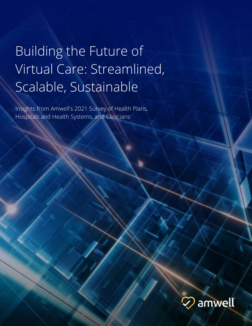# Building the Future of Virtual Care: Streamlined, Scalable, Sustainable

Insights from Amwell's 2021 Survey of Health Plans, Hospitals and Health Systems, and Clinicians

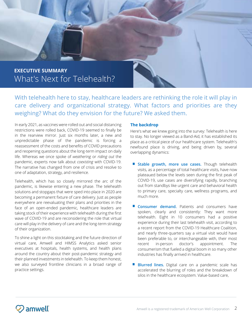

With telehealth here to stay, healthcare leaders are rethinking the role it will play in care delivery and organizational strategy. What factors and priorities are they weighing? What do they envision for the future? We asked them.

In early 2021, as vaccines were rolled out and social distancing restrictions were rolled back, COVID-19 seemed to finally be in the rearview mirror. Just six months later, a new and unpredictable phase of the pandemic is forcing a reassessment of the costs and benefits of COVID precautions and reopening questions about the long-term impact on daily life. Whereas we once spoke of *weathering* or *riding out* the pandemic, experts now talk about *coexisting* with COVID-19. The narrative has changed from one of crisis and resolve to one of adaptation, strategy, and resilience.

Telehealth, which has so closely mirrored the arc of the pandemic, is likewise entering a new phase. The telehealth solutions and stopgaps that were sped into place in 2020 are becoming a permanent fixture of care delivery. Just as people everywhere are reevaluating their plans and priorities in the face of an open-ended pandemic, healthcare leaders are taking stock of their experience with telehealth during the first wave of COVID-19 and are reconsidering the role that virtual care will play in the delivery of care and the long-term strategy of their organization.

To shine a light on this stocktaking and the future direction of virtual care, Amwell and HIMSS Analytics asked senior executives at hospitals, health systems, and health plans around the country about their post-pandemic strategy and their planned investments in telehealth. To keep them honest, we also surveyed frontline clinicians in a broad range of practice settings.

#### **The backdrop**

Here's what we knew going into the survey: Telehealth is here to stay. No longer viewed as a Band-Aid, it has established its place as a critical piece of our healthcare system. Telehealth's newfound place is driving, and being driven by, several overlapping dynamics:

- **E** Stable growth, more use cases. Though telehealth visits, as a percentage of total healthcare visits, have now plateaued below the levels seen during the first peak of COVID-19, use cases are diversifying rapidly, branching out from standbys like urgent care and behavioral health to primary care, specialty care, wellness programs, and much more.
- **Consumer demand.** Patients and consumers have spoken, clearly and consistently: They want more telehealth. Eight in 10 consumers had a positive experience during their last telehealth visit, according to a recent report from the COVID-19 Healthcare Coalition, and nearly three-quarters say a virtual visit would have been preferable to, or interchangeable with, their most recent in-person doctor's appointment. The consumerism that fueled a digital boom in so many other industries has finally arrived in healthcare.
- **Blurred lines.** Digital care on a pandemic scale has accelerated the blurring of roles and the breakdown of silos in the healthcare ecosystem. Value-based care,

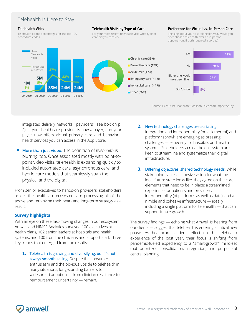### Telehealth Is Here to Stay

#### **Telehealth Visits**

Telehealth claims percentages for the top 100 procedure codes.

#### **Telehealth Visits by Type of Care**

For your most recent telehealth visit, what type of care did you receive?

#### **Preference for Virtual vs. In-Person Care**

Thinking about your last telehealth visit, would you have chosen telehealth over an in-person appointment if both required a co-pay?



Source: COVID-19 Healthcare Coalition Telehealth Impact Study

integrated delivery networks, "payviders" (see box on p. 4) — your healthcare provider is now a payer, and your payer now offers virtual primary care and behavioral health services you can access in the App Store.

§ **More than just video.** The definition of *telehealth* is blurring, too. Once associated mostly with point-topoint video visits, telehealth is expanding quickly to included automated care, asynchronous care, and hybrid care models that seamlessly span the physical and the digital.

From senior executives to hands-on providers, stakeholders across the healthcare ecosystem are processing all of the above and rethinking their near- and long-term strategy as a result.

#### **Survey highlights**

With an eye on these fast-moving changes in our ecosystem, Amwell and HIMSS Analytics surveyed 100 executives at health plans, 102 senior leaders at hospitals and health systems, and 100 frontline clinicians and support staff. Three key trends that emerged from the results:

**1.** Telehealth is growing and diversifying, but it's not always smooth sailing. Despite the consumer enthusiasm and the obvious upside to telehealth in many situations, long-standing barriers to widespread adoption — from clinician resistance to reimbursement uncertainty — remain.

#### **2.** New technology challenges are surfacing.

Integration and interoperability (or lack thereof) and platform "sprawl" are emerging as pressing challenges — especially for hospitals and health systems. Stakeholders across the ecosystem are keen to streamline and systematize their digital infrastructure.

**3.** Differing objectives, shared technology needs. While stakeholders lack a cohesive vision for what the ideal future state looks like, they agree on the core elements that need to be in place: a streamlined experience for patients and providers, interoperability (of platforms as well as data), and a nimble and cohesive infrastructure — ideally including a single platform for telehealth — that can support future growth.

The survey findings — echoing what Amwell is hearing from our clients — suggest that telehealth is entering a critical new phase. As healthcare leaders reflect on the telehealth experience of the past year, their focus is shifting from pandemic-fueled expediency to a "smart-growth" mind-set that prioritizes consolidation, integration, and purposeful central planning.

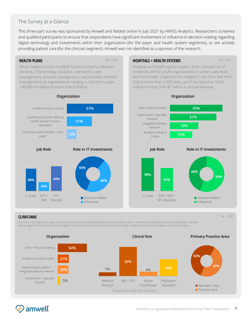#### The Survey at a Glance

This three-part survey was sponsored by Amwell and fielded online in July 2021 by HIMSS Analytics. Researchers screened and qualified participants to ensure that respondents have significant involvement or influence in decision-making regarding digital technology and investments within their organization (for the payer and health system segments), or are actively providing patient care (for the clinician segment). Amwell was not identified as a sponsor of the research.

#### **HEALTH PLANS** N = 100

Senior leaders across multiple functions (claims, member services, IT/technology, analytics, operations, care management, product management, and provider network management) at organizations ranging in size from under 100,000 members to more than 5 million.



#### **HOSPITALS + HEALTH SYSTEMS** N = 102

Hospital and health system leaders from a broad mix of nonprofit and for-profit organizations in urban, suburban, and rural areas. Organizations ranged in size from less than 250 to more than 2,500 beds, and from less than \$250 million to more than \$1 billion in annual revenue.

**Organization**



#### **CLINICIANS** N = 100

Frontline clinicians and support staff who are actively seeing patients and providing care in a variety of specialties. Practice settings covered every region of the country and ranged in size from solo and private practices to large health systems and academic medical centers.



### amwell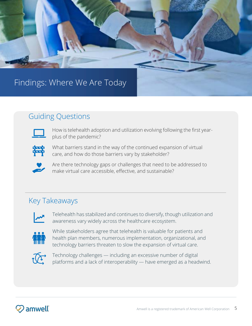

### Guiding Questions



How is telehealth adoption and utilization evolving following the first yearplus of the pandemic?



What barriers stand in the way of the continued expansion of virtual care, and how do those barriers vary by stakeholder?



Are there technology gaps or challenges that need to be addressed to make virtual care accessible, effective, and sustainable?

### How has the experience of the past year shaped the experience and expectations of payers, Key Takeaways



Telehealth has stabilized and continues to diversify, though utilization and awareness vary widely across the healthcare ecosystem.



 $\mathbb{Z}^{\bullet}$ ,  $\mathbb{Z}^{\bullet}$  health plan members, numerous implementation, organizational, and While stakeholders agree that telehealth is valuable for patients and technology barriers threaten to slow the expansion of virtual care.



Technology challenges — including an excessive number of digital platforms and a lack of interoperability — have emerged as a headwind.

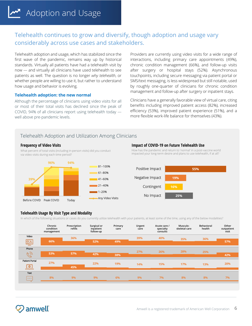### Telehealth continues to grow and diversify, though adoption and usage vary considerably across use cases and stakeholders.

Telehealth adoption and usage, which has stabilized since the first wave of the pandemic, remains way up by historical standards. Virtually all patients have had a telehealth visit by now — and virtually all clinicians have used telehealth to see patients as well. The question is no longer *why telehealth*, or whether people are willing to use it, but rather to understand how usage and behavior is evolving.

#### **Telehealth adoption: the new normal**

Although the percentage of clinicians using video visits for all or most of their total visits has declined since the peak of COVID, 94% of all clinicians report using telehealth today well above pre-pandemic levels.

Providers are currently using video visits for a wide range of interactions, including primary care appointments (49%), chronic condition management (66%), and follow-up visits after surgery or hospital stays (52%). Asynchronous touchpoints, including secure messaging via patient portal or SMS/text messaging, is less widespread but still notable, used by roughly one-quarter of clinicians for chronic condition management and follow-up after surgery or inpatient stays.

Clinicians have a generally favorable view of virtual care, citing benefits including improved patient access (82%), increased efficiency (53%), improved patient experience (51%), and a more flexible work-life balance for themselves (43%).

#### Telehealth Adoption and Utilization Among Clinicians

#### **Frequency of Video Visits**

What percent of total visits (including in-person visits) did you conduct via video visits during each time period?



#### **Impact of COVID-19 on Future Telehealth Use**

How has the pandemic and return to 'normal' in a post-vaccine world impacted your long-term desire and plans to use telehealth, if at all?



#### **Telehealth Usage By Visit Type and Modality**

In which of the following situations or cases do you currently utilize telehealth with your patients, at least some of the time, using any of the below modalities?



amwell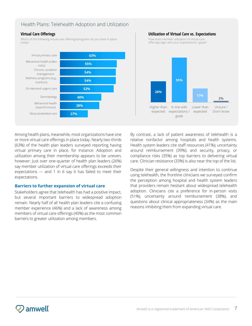#### Health Plans: Telehealth Adoption and Utilization

#### **Virtual Care Offerings**

Which of the following virtual care offerings/programs do you have in place today?





Among health plans, meanwhile, most organizations have one or more virtual care offerings in place today. Nearly two-thirds (63%) of the health plan leaders surveyed reporting having virtual primary care in place, for instance. Adoption and utilization among their membership appears to be uneven, however: Just over one-quarter of health plan leaders (26%) say member utilization of virtual care offerings exceeds their expectations — and 1 in 6 say it has failed to meet their expectations.

#### **Barriers to further expansion of virtual care**

Stakeholders agree that telehealth has had a positive impact, but several important barriers to widespread adoption remain. Nearly half of all health plan leaders cite a confusing member experience (46%) and a lack of awareness among members of virtual care offerings (40%) as the most common barriers to greater utilization among members.

By contrast, a lack of patient awareness of telehealth is a relative nonfactor among hospitals and health systems. Health system leaders cite staff resources (41%); uncertainty around reimbursement (39%); and security, privacy, or compliance risks (35%) as top barriers to delivering virtual care. Clinician resistance (33%) is also near the top of the list.

Despite their general willingness and intention to continue using telehealth, the frontline clinicians we surveyed confirm the perception among hospital and health system leaders that providers remain hesitant about widespread telehealth adoption. Clinicians cite a preference for in-person visits (51%), uncertainty around reimbursement (38%), and questions about clinical appropriateness (34%) as the main reasons inhibiting them from expanding virtual care.

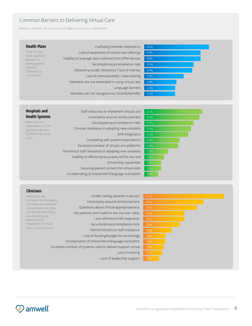#### Common Barriers to Delivering Virtual Care

Barriers ranked in the top 3 by each segment of survey respondents

#### **Health Plans**

What are the most significant barriers to driving greater member utilization of virtual care?

Confusing member experience Lack of awareness of virtual care offerings Inability to leverage data collected from RPM devices Security/privacy/compliance risks Network provider resistance / lack of interest Lack of interoperability / data sharing Members are not interested in using virtual care Language barriers Members do not recognize our brands/benefits



#### **Hospitals and Health Systems**

What are your organization's most significant barriers to delivering virtual care?

Staff resources to implement virtual care Uncertainty around reimbursement Security/privacy/compliance risks Clinician resistance in adopting new solutions EHR Integration Competing with patient expectations Excessive number of virtual care platforms Nonclinical staff resistance in adopting new solutions Inability to efficiently/accurately bill for the visit Scheduling capabilities Securing patient consent for virtual visits Incorporating of interpreters/language translation



#### **Clinicians**

Aside from any technical / technological concerns you may have using virtual care, what current barriers, if any, are inhibiting use and/or further integration of virtual care in your practice?

I prefer seeing patients in person Uncertainty around reimbursement Questions about clinical appropriateness My patients don't want to see me over video Lack of/limited EHR integration Security/privacy/compliance risks Admin/nonclinical staff resistance Lack of funding/budget for technology Incorporation of interpreters/language translation Excessive number of systems used to deliver/support virtual… Lack of training Lack of leadership support



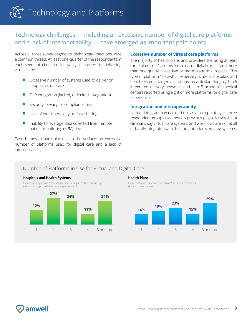# $\widehat{M}$  Technology and Platforms

### Technology challenges — including an excessive number of digital care platforms and a lack of interoperability — have emerged as important pain points.

Across all three survey segments, technology limitations were a common thread. At least one-quarter of the respondents in each segment cited the following as barriers to delivering virtual care:

- Excessive number of systems used to deliver or support virtual care
- EHR integration (lack of, or limited, integration)
- Security, privacy, or compliance risks
- Lack of interoperability or data-sharing
- Inability to leverage data collected from remote patient monitoring (RPM) devices

Two themes in particular rise to the surface: an excessive number of platforms used for digital care and a lack of interoperability.

#### **Excessive number of virtual care platforms**

The majority of health plans and providers are using at least three platforms/systems for virtual or digital care — and more than one-quarter have five or more platforms in place. This type of platform "sprawl" is especially acute at hospitals and health systems, larger institutions in particular. Roughly 1 in 6 integrated delivery networks and 1 in 5 academic medical centers reported using eight or more platforms for digital care experiences.

#### **Integration and interoperability**

Lack of integration was called out as a pain point by all three respondent groups (see box on previous page). Nearly 1 in 4 clinicians say virtual care systems and workflows are not at all or hardly integrated with their organization's existing systems.

#### Number of Platforms in Use for Virtual and Digital Care



#### **Health Plans**

How many virtual care platforms / services / vendors do you have today?

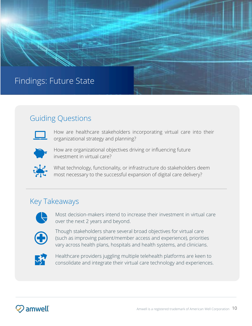## Findings: Future State

### Guiding Questions



How are healthcare stakeholders incorporating virtual care into their organizational strategy and planning?



How are organizational objectives driving or influencing future investment in virtual care?



What technology, functionality, or infrastructure do stakeholders deem most necessary to the successful expansion of digital care delivery?

#### How has the experience of the past year shaped the payers  $\mathcal{A}$ Key Takeaways



**Providers** Most decision-makers intend to increase their investment in virtual care over the next 2 years and beyond.



Vary across health plans, hospitals and health systems, and clinicians. Though stakeholders share several broad objectives for virtual care (such as improving patient/member access and experience), priorities



Healthcare providers juggling multiple telehealth platforms are keen to consolidate and integrate their virtual care technology and experiences.

How has the experience of the past year shaped the experience and expectations of payers,

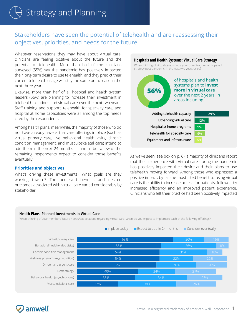### Stakeholders have seen the potential of telehealth and are reassessing their objectives, priorities, and needs for the future.

Whatever reservations they may have about virtual care, clinicians are feeling positive about the future and the potential of telehealth. More than half of the clinicians surveyed (55%) say the pandemic has positively impacted their long-term desire to use telehealth, and they predict their current telehealth usage will stay the same or increase in the next three years.

Likewise, more than half of all hospital and health system leaders (56%) are planning to increase their investment in telehealth solutions and virtual care over the next two years. Staff training and support, telehealth for specialty care, and hospital at home capabilities were all among the top needs cited by the respondents.

Among health plans, meanwhile, the majority of those who do not have already have virtual care offerings in place (such as virtual primary care, live behavioral health visits, chronic condition management, and musculoskeletal care) intend to add them in the next 24 months — and all but a few of the remaining respondents expect to consider those benefits eventually.

#### **Priorities and objectives**

What's driving these investments? What goals are they working toward? The perceived benefits and desired outcomes associated with virtual care varied considerably by stakeholder.

#### **Hospitals and Health Systems: Virtual Care Strategy**

When thinking of virtual care, what is your organization's anticipated strategy post pandemic, in the next two years or so?



As we've seen (see box on p. 6), a majority of clinicians report that their experience with virtual care during the pandemic has positively impacted their desire and their plans to use telehealth moving forward. Among those who expressed a positive impact, by far the most cited benefit to using virtual care is the ability to increase access for patients, followed by increased efficiency and an improved patient experience. Clinicians who felt their practice had been positively impacted

#### **Health Plans: Planned Investments in Virtual Care**

When thinking of your members' future needs/expectations regarding virtual care, when do you expect to implement each of the following offerings?

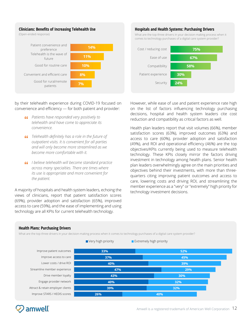#### **Clinicians: Benefits of Increasing Telehealth Use**

(Open-ended response)



#### **Hospitals and Health Systems: Purchasing Drivers**

What are the top three drivers in your decision-making process when it comes to technology purchases of a digital care system provider?



by their telehealth experience during COVID-19 focused on convenience and efficiency — for both patient and provider:

- *Patients have responded very positively to telehealth and have come to appreciate its*   $convenience.$ 
	- *Telehealth definitely has a role in the future of outpatient visits. It is convenient for all parties and will only become more streamlined as we become more comfortable with it.*
	- *I believe telehealth will become standard practice across many specialties. There are times where its use is appropriate and more convenient for the patient.*

A majority of hospitals and health system leaders, echoing the views of clinicians, report that patient satisfaction scores (69%), provider adoption and satisfaction (65%), improved access to care (59%), and the ease of implementing and using technology are all KPIs for current telehealth technology.

However, while ease of use and patient experience rate high on the list of factors influencing technology purchasing decisions, hospital and health system leaders cite cost decisions, hospital and Health System readers of and the medicing points of the **Health System Readers** where the three drivers in your decision-making process when it will be a second process when it will be a second process when it will be a second process when it will be a second process when it will be a second process w

Health plan leaders report that visit volumes (66%), member satisfaction scores (63%), improved outcomes (63%) and access to care (60%), provider adoption and satisfaction (49%), and ROI and operational efficiency (46%) are the top objectives/KPIs currently being used to measure telehealth technology. These KPIs closely mirror the factors driving investment in technology among health plans. Senior health plan leaders overwhelmingly agree on the main priorities and objectives behind their investments, with more than threequarters citing improving patient outcomes and access to care, lowering costs and driving ROI, and streamlining the member experience as a "very" or "extremely" high priority for technology investment decisions.

#### **Health Plans: Purchasing Drivers**

What are the top three drivers in your decision-making process when it comes to technology purchases of a digital care system provider?



#### amwell **Payers: Purchasing Drivers**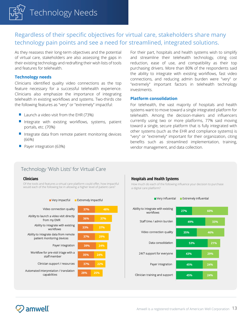

### Regardless of their specific objectives for virtual care, stakeholders share many technology pain points and see a need for streamlined, integrated solutions.

As they reassess their long-term objectives and the potential of virtual care, stakeholders are also assessing the gaps in their existing technology and redrafting their wish lists of tools and features for telehealth.

#### **Technology needs**

Clinicians identified quality video connections as the top feature necessary for a successful telehealth experience. Clinicians also emphasize the importance of integrating telehealth in existing workflows and systems. Two-thirds cite the following features as "very" or "extremely" impactful:

- **E** Launch a video visit from the EHR (73%)
- **■** Integrate with existing workflows, systems, patient portals, etc. (70%)
- Integrate data from remote patient monitoring devices (66%)
- Payer integration (63%)

For their part, hospitals and health systems wish to simplify and streamline their telehealth technology, citing cost reduction, ease of use, and compatibility as their top purchasing drivers. More than 80% of the respondents said the ability to integrate with existing workflows, fast video connections, and reducing admin burden were "very" or "extremely" important factors in telehealth technology investments.

#### **Platform consolidation**

For telehealth, the vast majority of hospitals and health systems want to move toward a single integrated platform for telehealth. Among the decision-makers and influencers currently using two or more platforms, 77% said moving toward a single, secure platform that is fully integrated with other systems (such as the EHR and compliance systems) is "very" or "extremely" important for their organization, citing benefits such as streamlined implementation, training, vendor management, and data collection.

#### Technology 'Wish Lists' for Virtual Care

#### **Clinicians**

Of the tools and features a virtual care platform could offer, how impactful would each of the following be in allowing a higher level of patient care?



#### **Hospitals and Health Systems**

How much do each of the following influence your decision to purchase a digital care platform?



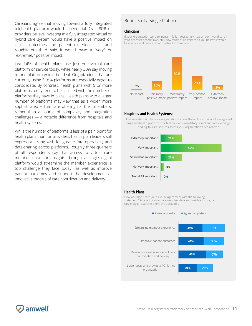Clinicians agree that moving toward a fully integrated telehealth platform would be beneficial. Over 80% of providers believe investing in a fully integrated virtual or hybrid care system would have a positive impact on clinical outcomes and patient experiences — and roughly one-third said it would have a "very" or "extremely" positive impact.

Just 14% of health plans use just one virtual care platform or service today, while nearly 30% say moving to one platform would be ideal. Organizations that are currently using 3 to 4 platforms are especially eager to consolidate. By contrast, health plans with 5 or more platforms today tend to be satisfied with the number of platforms they have in place. Health plans with a larger number of platforms may view that as a wider, more sophisticated virtual care offering for their members, rather than a source of complexity and integration challenges — a notable difference from hospitals and health systems.

While the number of platforms is less of a pain point for health plans than for providers, health plan leaders still express a strong wish for greater interoperability and data-sharing across platforms. Roughly three-quarters of all respondents say that access to virtual care member data and insights through a single digital platform would streamline the member experience (a top challenge they face today), as well as improve patient outcomes and support the development of innovative models of care coordination and delivery.

#### Benefits of a Single Platform

#### **Clinicians**

If your organization were to invest in fully integrating virtual and/or hybrid care in your processes, workflows, etc., how much of an impact do you believe it would have on clinical outcomes and patient experience?



#### **Hospitals and Health Systems:**

How important is it for your organization to have the ability to use a fully integrated single telehealth platform, which allows for a regulatory compliant data exchange and digital care services across your organization's ecosystem?



#### **Health Plans**

How would you rate your level of agreement with the following statement? Access to virtual care member data and insights through a single digital platform offers the ability to…



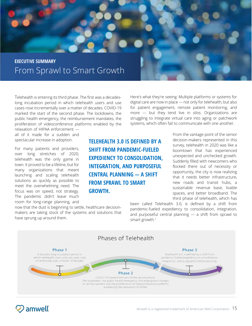

Telehealth is entering its third phase. The first was a decadeslong incubation period in which telehealth users and use cases rose incrementally over a matter of decades. COVID-19 marked the start of the second phase. The lockdowns, the public health emergency, the reimbursement mandates, the proliferation of videoconference platforms enabled by the

relaxation of HIPAA enforcement all of it made for a sudden and spectacular increase in adoption.

For many patients and providers, over long stretches of 2020, telehealth was the only game in town. It proved to be a lifeline, but for many organizations that meant launching and scaling telehealth solutions as quickly as possible to meet the overwhelming need. The focus was on speed, not strategy. The pandemic didn't leave much room for long-range planning, and

now that the dust is beginning to settle, healthcare decisionmakers are taking stock of the systems and solutions that have sprung up around them.

Here's what they're seeing: Multiple platforms or systems for digital care are now in place — not only for telehealth, but also for patient engagement, remote patient monitoring, and more — but they tend live in silos. Organizations are struggling to integrate virtual care into aging or patchwork systems, which often fail to communicate with one another.

**TELEHEALTH 3.0 IS DEFINED BY A SHIFT FROM PANDEMIC-FUELED EXPEDIENCY TO CONSOLIDATION, INTEGRATION, AND PURPOSEFUL CENTRAL PLANNING — A SHIFT FROM SPRAWL TO SMART GROWTH.**

From the vantage point of the senior decision-makers represented in this survey, telehealth in 2020 was like a boomtown that has experienced unexpected and unchecked growth. Suddenly filled with newcomers who flocked there out of necessity or opportunity, the city is now realizing that it needs better infrastructure, new roads and transit hubs, a sustainable revenue base, livable spaces, and better broadband. The third phase of telehealth, which has

been called Telehealth 3.0, is defined by a shift from pandemic-fueled expediency to consolidation, integration, and purposeful central planning — a shift from sprawl to smart growth.<sup>1</sup>